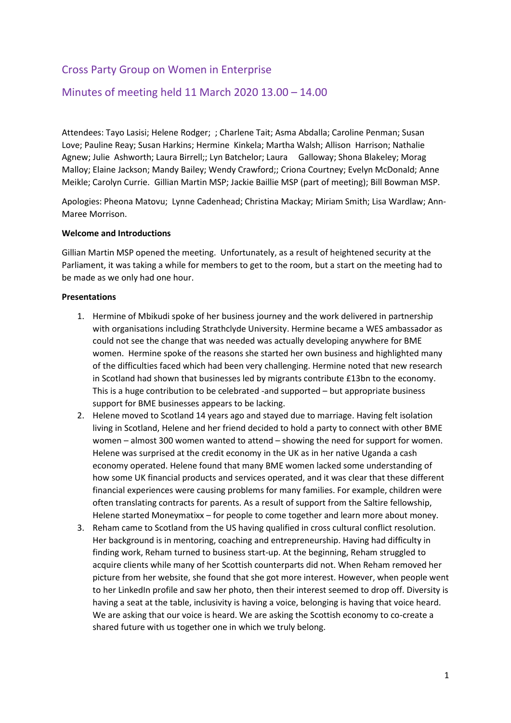# Cross Party Group on Women in Enterprise

## Minutes of meeting held 11 March 2020 13.00 – 14.00

Attendees: Tayo Lasisi; Helene Rodger; ; Charlene Tait; Asma Abdalla; Caroline Penman; Susan Love; Pauline Reay; Susan Harkins; Hermine Kinkela; Martha Walsh; Allison Harrison; Nathalie Agnew; Julie Ashworth; Laura Birrell;; Lyn Batchelor; Laura Galloway; Shona Blakeley; Morag Malloy; Elaine Jackson; Mandy Bailey; Wendy Crawford;; Criona Courtney; Evelyn McDonald; Anne Meikle; Carolyn Currie. Gillian Martin MSP; Jackie Baillie MSP (part of meeting); Bill Bowman MSP.

Apologies: Pheona Matovu; Lynne Cadenhead; Christina Mackay; Miriam Smith; Lisa Wardlaw; Ann-Maree Morrison.

#### **Welcome and Introductions**

Gillian Martin MSP opened the meeting. Unfortunately, as a result of heightened security at the Parliament, it was taking a while for members to get to the room, but a start on the meeting had to be made as we only had one hour.

#### **Presentations**

- 1. Hermine of Mbikudi spoke of her business journey and the work delivered in partnership with organisations including Strathclyde University. Hermine became a WES ambassador as could not see the change that was needed was actually developing anywhere for BME women. Hermine spoke of the reasons she started her own business and highlighted many of the difficulties faced which had been very challenging. Hermine noted that new research in Scotland had shown that businesses led by migrants contribute £13bn to the economy. This is a huge contribution to be celebrated -and supported – but appropriate business support for BME businesses appears to be lacking.
- 2. Helene moved to Scotland 14 years ago and stayed due to marriage. Having felt isolation living in Scotland, Helene and her friend decided to hold a party to connect with other BME women – almost 300 women wanted to attend – showing the need for support for women. Helene was surprised at the credit economy in the UK as in her native Uganda a cash economy operated. Helene found that many BME women lacked some understanding of how some UK financial products and services operated, and it was clear that these different financial experiences were causing problems for many families. For example, children were often translating contracts for parents. As a result of support from the Saltire fellowship, Helene started Moneymatixx – for people to come together and learn more about money.
- 3. Reham came to Scotland from the US having qualified in cross cultural conflict resolution. Her background is in mentoring, coaching and entrepreneurship. Having had difficulty in finding work, Reham turned to business start-up. At the beginning, Reham struggled to acquire clients while many of her Scottish counterparts did not. When Reham removed her picture from her website, she found that she got more interest. However, when people went to her LinkedIn profile and saw her photo, then their interest seemed to drop off. Diversity is having a seat at the table, inclusivity is having a voice, belonging is having that voice heard. We are asking that our voice is heard. We are asking the Scottish economy to co-create a shared future with us together one in which we truly belong.